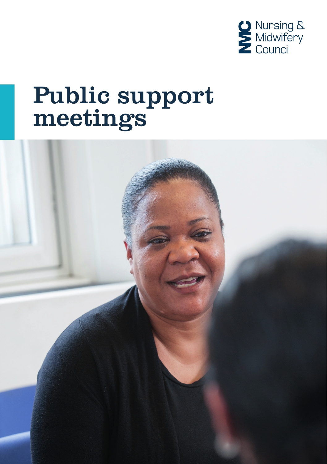

# Public support meetings

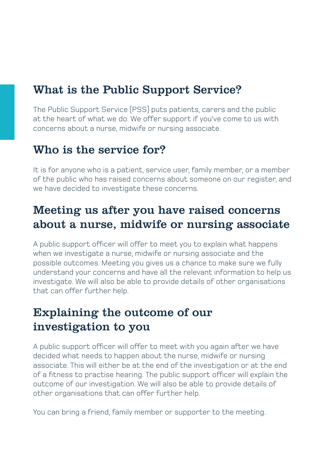# What is the Public Support Service?

The Public Support Service (PSS) puts patients, carers and the public at the heart of what we do. We offer support if you've come to us with concerns about a nurse, midwife or nursing associate.

#### Who is the service for?

It is for anyone who is a patient, service user, family member, or a member of the public who has raised concerns about someone on our register, and we have decided to investigate these concerns.

# Meeting us after you have raised concerns about a nurse, midwife or nursing associate

A public support officer will offer to meet you to explain what happens when we investigate a nurse, midwife or nursing associate and the possible outcomes. Meeting you gives us a chance to make sure we fully understand your concerns and have all the relevant information to help us investigate. We will also be able to provide details of other organisations that can offer further help.

# Explaining the outcome of our investigation to you

A public support officer will offer to meet with you again after we have decided what needs to happen about the nurse, midwife or nursing associate. This will either be at the end of the investigation or at the end of a fitness to practise hearing. The public support officer will explain the outcome of our investigation. We will also be able to provide details of other organisations that can offer further help.

You can bring a friend, family member or supporter to the meeting.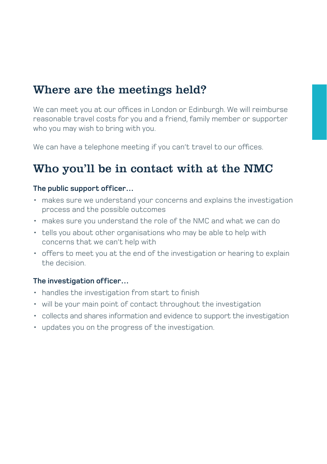## Where are the meetings held?

We can meet you at our offices in London or Edinburgh. We will reimburse reasonable travel costs for you and a friend, family member or supporter who you may wish to bring with you.

We can have a telephone meeting if you can't travel to our offices.

## Who you'll be in contact with at the NMC

#### **The public support officer…**

- makes sure we understand your concerns and explains the investigation process and the possible outcomes
- makes sure you understand the role of the NMC and what we can do
- tells you about other organisations who may be able to help with concerns that we can't help with
- offers to meet you at the end of the investigation or hearing to explain the decision.

#### **The investigation officer…**

- handles the investigation from start to finish
- will be your main point of contact throughout the investigation
- collects and shares information and evidence to support the investigation
- updates you on the progress of the investigation.